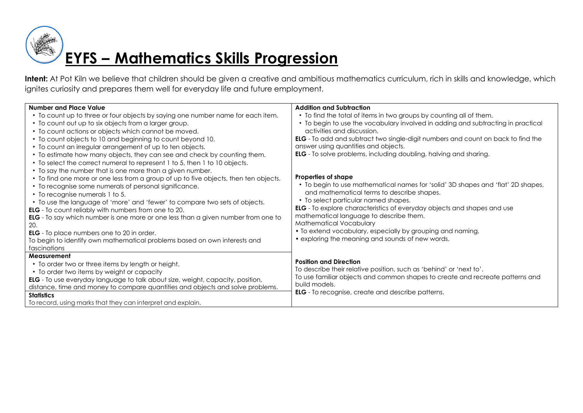

Intent: At Pot Kiln we believe that children should be given a creative and ambitious mathematics curriculum, rich in skills and knowledge, which ignites curiosity and prepares them well for everyday life and future employment.

| Number and Place Value                                                                                                                                                                                                                                                                                                                                                                                                                                                                                                                                                                                                                                                                                                                                                                                      | <b>Addition and Subtraction</b>                                                                                                                                                                                                                                                                                                                                                                                                                                                                                                                     |
|-------------------------------------------------------------------------------------------------------------------------------------------------------------------------------------------------------------------------------------------------------------------------------------------------------------------------------------------------------------------------------------------------------------------------------------------------------------------------------------------------------------------------------------------------------------------------------------------------------------------------------------------------------------------------------------------------------------------------------------------------------------------------------------------------------------|-----------------------------------------------------------------------------------------------------------------------------------------------------------------------------------------------------------------------------------------------------------------------------------------------------------------------------------------------------------------------------------------------------------------------------------------------------------------------------------------------------------------------------------------------------|
| • To count up to three or four objects by saying one number name for each item.<br>• To count out up to six objects from a larger group.<br>• To count actions or objects which cannot be moved.<br>• To count objects to 10 and beginning to count beyond 10.<br>• To count an irregular arrangement of up to ten objects.                                                                                                                                                                                                                                                                                                                                                                                                                                                                                 | • To find the total of items in two groups by counting all of them.<br>• To begin to use the vocabulary involved in adding and subtracting in practical<br>activities and discussion.<br><b>ELG</b> - To add and subtract two single-digit numbers and count on back to find the<br>answer using quantities and objects.                                                                                                                                                                                                                            |
| • To estimate how many objects, they can see and check by counting them.<br>• To select the correct numeral to represent 1 to 5, then 1 to 10 objects.<br>• To say the number that is one more than a given number.<br>• To find one more or one less from a group of up to five objects, then ten objects.<br>• To recognise some numerals of personal significance.<br>• To recognise numerals 1 to 5.<br>• To use the language of 'more' and 'fewer' to compare two sets of objects.<br><b>ELG</b> - To count reliably with numbers from one to 20.<br><b>ELG</b> - To say which number is one more or one less than a given number from one to<br>20.<br><b>ELG</b> - To place numbers one to 20 in order.<br>To begin to identify own mathematical problems based on own interests and<br>fascinations | <b>ELG</b> - To solve problems, including doubling, halving and sharing.<br>Properties of shape<br>• To begin to use mathematical names for 'solid' 3D shapes and 'flat' 2D shapes,<br>and mathematical terms to describe shapes.<br>• To select particular named shapes.<br><b>ELG</b> - To explore characteristics of everyday objects and shapes and use<br>mathematical language to describe them.<br>Mathematical Vocabulary<br>• To extend vocabulary, especially by grouping and naming,<br>• exploring the meaning and sounds of new words. |
| Measurement<br>• To order two or three items by length or height.<br>• To order two items by weight or capacity<br>ELG - To use everyday language to talk about size, weight, capacity, position,<br>distance, time and money to compare quantities and objects and solve problems.<br><b>Statistics</b><br>To record, using marks that they can interpret and explain.                                                                                                                                                                                                                                                                                                                                                                                                                                     | <b>Position and Direction</b><br>To describe their relative position, such as 'behind' or 'next to'.<br>To use familiar objects and common shapes to create and recreate patterns and<br>build models.<br><b>ELG</b> - To recognise, create and describe patterns.                                                                                                                                                                                                                                                                                  |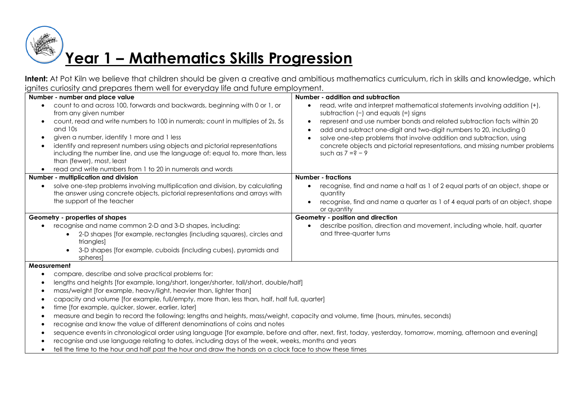# **Year 1 – Mathematics Skills Progression**

Intent: At Pot Kiln we believe that children should be given a creative and ambitious mathematics curriculum, rich in skills and knowledge, which ignites curiosity and prepares them well for everyday life and future employment.

| Number - number and place value                                                                                                                                | Number - addition and subtraction                                            |
|----------------------------------------------------------------------------------------------------------------------------------------------------------------|------------------------------------------------------------------------------|
| count to and across 100, forwards and backwards, beginning with 0 or 1, or                                                                                     | read, write and interpret mathematical statements involving addition (+),    |
| from any given number                                                                                                                                          | subtraction $(-)$ and equals $(=)$ signs                                     |
| count, read and write numbers to 100 in numerals; count in multiples of 2s, 5s                                                                                 | represent and use number bonds and related subtraction facts within 20       |
| and 10s                                                                                                                                                        | add and subtract one-digit and two-digit numbers to 20, including 0          |
| given a number, identify 1 more and 1 less<br>$\bullet$                                                                                                        | solve one-step problems that involve addition and subtraction, using         |
| identify and represent numbers using objects and pictorial representations<br>$\bullet$                                                                        | concrete objects and pictorial representations, and missing number problems  |
| including the number line, and use the language of: equal to, more than, less                                                                                  | such as $7 = ? - 9$                                                          |
| than (fewer), most, least                                                                                                                                      |                                                                              |
| read and write numbers from 1 to 20 in numerals and words<br>$\bullet$                                                                                         |                                                                              |
| Number - multiplication and division                                                                                                                           | <b>Number - fractions</b>                                                    |
| solve one-step problems involving multiplication and division, by calculating<br>$\bullet$                                                                     | recognise, find and name a half as 1 of 2 equal parts of an object, shape or |
| the answer using concrete objects, pictorial representations and arrays with                                                                                   | quantity                                                                     |
| the support of the teacher                                                                                                                                     | recognise, find and name a quarter as 1 of 4 equal parts of an object, shape |
|                                                                                                                                                                | or quantity                                                                  |
| Geometry - properties of shapes                                                                                                                                | Geometry - position and direction                                            |
| recognise and name common 2-D and 3-D shapes, including:                                                                                                       | describe position, direction and movement, including whole, half, quarter    |
| 2-D shapes [for example, rectangles (including squares), circles and                                                                                           | and three-quarter turns                                                      |
| triangles]                                                                                                                                                     |                                                                              |
| 3-D shapes [for example, cuboids (including cubes), pyramids and                                                                                               |                                                                              |
| spheres                                                                                                                                                        |                                                                              |
| <b>Measurement</b>                                                                                                                                             |                                                                              |
| compare, describe and solve practical problems for:                                                                                                            |                                                                              |
| lengths and heights [for example, long/short, longer/shorter, tall/short, double/half]                                                                         |                                                                              |
| mass/weight [for example, heavy/light, heavier than, lighter than]                                                                                             |                                                                              |
| capacity and volume [for example, full/empty, more than, less than, half, half full, quarter]                                                                  |                                                                              |
| time [for example, quicker, slower, earlier, later]<br>٠                                                                                                       |                                                                              |
| measure and begin to record the following: lengths and heights, mass/weight, capacity and volume, time (hours, minutes, seconds)<br>$\bullet$                  |                                                                              |
| recognise and know the value of different denominations of coins and notes                                                                                     |                                                                              |
| sequence events in chronological order using language [for example, before and after, next, first, today, yesterday, tomorrow, morning, afternoon and evening] |                                                                              |

- recognise and use language relating to dates, including days of the week, weeks, months and years
- tell the time to the hour and half past the hour and draw the hands on a clock face to show these times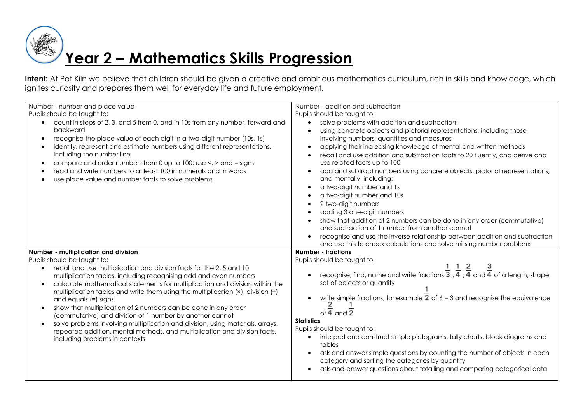# **Year 2 – Mathematics Skills Progression**

Intent: At Pot Kiln we believe that children should be given a creative and ambitious mathematics curriculum, rich in skills and knowledge, which ignites curiosity and prepares them well for everyday life and future employment.

| Number - number and place value<br>Pupils should be taught to:<br>count in steps of 2, 3, and 5 from 0, and in 10s from any number, forward and<br>$\bullet$<br>backward<br>recognise the place value of each digit in a two-digit number (10s, 1s)<br>$\bullet$<br>identify, represent and estimate numbers using different representations,<br>$\bullet$<br>including the number line<br>compare and order numbers from 0 up to 100; use $\lt$ , $>$ and = signs<br>$\bullet$<br>read and write numbers to at least 100 in numerals and in words<br>use place value and number facts to solve problems                                                                                                                                                                                                            | Number - addition and subtraction<br>Pupils should be taught to:<br>solve problems with addition and subtraction:<br>using concrete objects and pictorial representations, including those<br>involving numbers, quantities and measures<br>applying their increasing knowledge of mental and written methods<br>recall and use addition and subtraction facts to 20 fluently, and derive and<br>use related facts up to 100<br>add and subtract numbers using concrete objects, pictorial representations,<br>and mentally, including:<br>a two-digit number and 1s<br>a two-digit number and 10s<br>2 two-digit numbers<br>adding 3 one-digit numbers<br>show that addition of 2 numbers can be done in any order (commutative) |
|---------------------------------------------------------------------------------------------------------------------------------------------------------------------------------------------------------------------------------------------------------------------------------------------------------------------------------------------------------------------------------------------------------------------------------------------------------------------------------------------------------------------------------------------------------------------------------------------------------------------------------------------------------------------------------------------------------------------------------------------------------------------------------------------------------------------|-----------------------------------------------------------------------------------------------------------------------------------------------------------------------------------------------------------------------------------------------------------------------------------------------------------------------------------------------------------------------------------------------------------------------------------------------------------------------------------------------------------------------------------------------------------------------------------------------------------------------------------------------------------------------------------------------------------------------------------|
|                                                                                                                                                                                                                                                                                                                                                                                                                                                                                                                                                                                                                                                                                                                                                                                                                     | and subtraction of 1 number from another cannot<br>recognise and use the inverse relationship between addition and subtraction<br>and use this to check calculations and solve missing number problems                                                                                                                                                                                                                                                                                                                                                                                                                                                                                                                            |
| Number - multiplication and division<br>Pupils should be taught to:<br>recall and use multiplication and division facts for the 2, 5 and 10<br>$\bullet$<br>multiplication tables, including recognising odd and even numbers<br>calculate mathematical statements for multiplication and division within the<br>$\bullet$<br>multiplication tables and write them using the multiplication $(x)$ , division $\left(\div\right)$<br>and equals $(=)$ signs<br>show that multiplication of 2 numbers can be done in any order<br>$\bullet$<br>(commutative) and division of 1 number by another cannot<br>solve problems involving multiplication and division, using materials, arrays,<br>$\bullet$<br>repeated addition, mental methods, and multiplication and division facts,<br>including problems in contexts | <b>Number - fractions</b><br>Pupils should be taught to:<br>recognise, find, name and write fractions $\frac{1}{3}$ , $\frac{1}{4}$ , $\frac{2}{4}$ and $\frac{3}{4}$ of a length, shape,<br>set of objects or quantity<br>write simple fractions, for example $2$ of $6 = 3$ and recognise the equivalence<br>of $\overline{4}$ and $\overline{2}$<br><b>Statistics</b><br>Pupils should be taught to:<br>interpret and construct simple pictograms, tally charts, block diagrams and<br>tables<br>ask and answer simple questions by counting the number of objects in each<br>category and sorting the categories by quantity<br>ask-and-answer questions about totalling and comparing categorical data                       |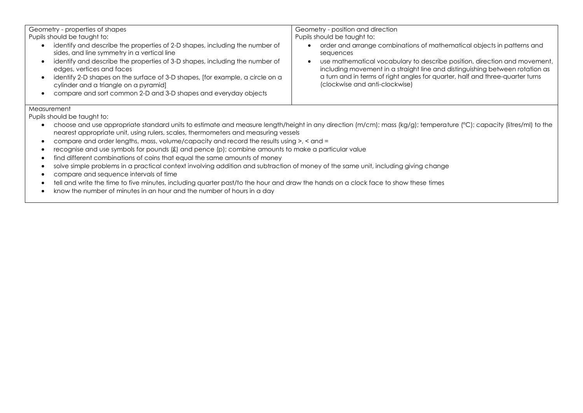| Geometry - properties of shapes                                                                                                                                                                                                                                                                                                                                                                                                     | Geometry - position and direction                                                                                                                                                                                                                                                                                                                                   |
|-------------------------------------------------------------------------------------------------------------------------------------------------------------------------------------------------------------------------------------------------------------------------------------------------------------------------------------------------------------------------------------------------------------------------------------|---------------------------------------------------------------------------------------------------------------------------------------------------------------------------------------------------------------------------------------------------------------------------------------------------------------------------------------------------------------------|
| Pupils should be taught to:                                                                                                                                                                                                                                                                                                                                                                                                         | Pupils should be taught to:                                                                                                                                                                                                                                                                                                                                         |
| identify and describe the properties of 2-D shapes, including the number of<br>sides, and line symmetry in a vertical line<br>identify and describe the properties of 3-D shapes, including the number of<br>edges, vertices and faces<br>identify 2-D shapes on the surface of 3-D shapes, [for example, a circle on a<br>cylinder and a triangle on a pyramid]<br>compare and sort common 2-D and 3-D shapes and everyday objects | order and arrange combinations of mathematical objects in patterns and<br>sequences<br>use mathematical vocabulary to describe position, direction and movement,<br>including movement in a straight line and distinguishing between rotation as<br>a turn and in terms of right angles for quarter, half and three-quarter turns<br>(clockwise and anti-clockwise) |

#### Measurement

Pupils should be taught to:

- choose and use appropriate standard units to estimate and measure length/height in any direction (m/cm); mass (kg/g); temperature (°C); capacity (litres/ml) to the nearest appropriate unit, using rulers, scales, thermometers and measuring vessels
- compare and order lengths, mass, volume/capacity and record the results using >, < and =
- recognise and use symbols for pounds (£) and pence (p); combine amounts to make a particular value
- find different combinations of coins that equal the same amounts of money
- solve simple problems in a practical context involving addition and subtraction of money of the same unit, including giving change
- compare and sequence intervals of time
- tell and write the time to five minutes, including quarter past/to the hour and draw the hands on a clock face to show these times
- know the number of minutes in an hour and the number of hours in a day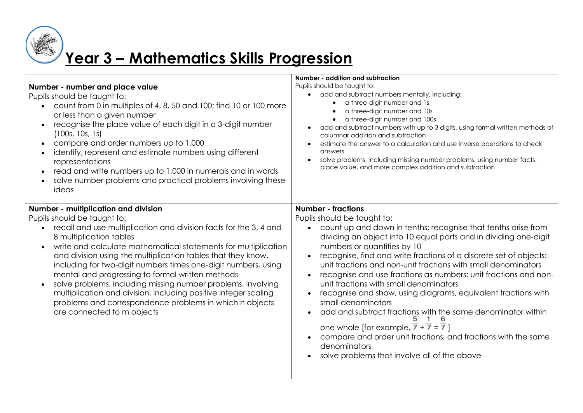

# **Year 3 – Mathematics Skills Progression**

| Number - number and place value<br>Pupils should be taught to:<br>count from 0 in multiples of 4, 8, 50 and 100; find 10 or 100 more<br>$\bullet$<br>or less than a given number<br>recognise the place value of each digit in a 3-digit number<br>(100s, 10s, 1s)<br>compare and order numbers up to 1,000<br>$\bullet$<br>identify, represent and estimate numbers using different<br>representations<br>read and write numbers up to 1,000 in numerals and in words<br>solve number problems and practical problems involving these<br>ideas                                                                                                         | Number - addition and subtraction<br>Pupils should be taught to:<br>add and subtract numbers mentally, including:<br>a three-digit number and 1s<br>a three-digit number and 10s<br>a three-digit number and 100s<br>add and subtract numbers with up to 3 digits, using formal written methods of<br>columnar addition and subtraction<br>estimate the answer to a calculation and use inverse operations to check<br>answers<br>solve problems, including missing number problems, using number facts,<br>place value, and more complex addition and subtraction                                                                                                                                                                                                                                                                               |
|---------------------------------------------------------------------------------------------------------------------------------------------------------------------------------------------------------------------------------------------------------------------------------------------------------------------------------------------------------------------------------------------------------------------------------------------------------------------------------------------------------------------------------------------------------------------------------------------------------------------------------------------------------|--------------------------------------------------------------------------------------------------------------------------------------------------------------------------------------------------------------------------------------------------------------------------------------------------------------------------------------------------------------------------------------------------------------------------------------------------------------------------------------------------------------------------------------------------------------------------------------------------------------------------------------------------------------------------------------------------------------------------------------------------------------------------------------------------------------------------------------------------|
| Number - multiplication and division<br>Pupils should be taught to:<br>recall and use multiplication and division facts for the 3, 4 and<br>8 multiplication tables<br>write and calculate mathematical statements for multiplication<br>and division using the multiplication tables that they know,<br>including for two-digit numbers times one-digit numbers, using<br>mental and progressing to formal written methods<br>solve problems, including missing number problems, involving<br>multiplication and division, including positive integer scaling<br>problems and correspondence problems in which n objects<br>are connected to m objects | <b>Number - fractions</b><br>Pupils should be taught to:<br>count up and down in tenths; recognise that tenths arise from<br>dividing an object into 10 equal parts and in dividing one-digit<br>numbers or quantities by 10<br>recognise, find and write fractions of a discrete set of objects:<br>unit fractions and non-unit fractions with small denominators<br>recognise and use fractions as numbers: unit fractions and non-<br>unit fractions with small denominators<br>recognise and show, using diagrams, equivalent fractions with<br>small denominators<br>add and subtract fractions with the same denominator within<br>one whole [for example, $\overline{7} + \overline{7} = \overline{7}$ ]<br>compare and order unit fractions, and fractions with the same<br>denominators<br>solve problems that involve all of the above |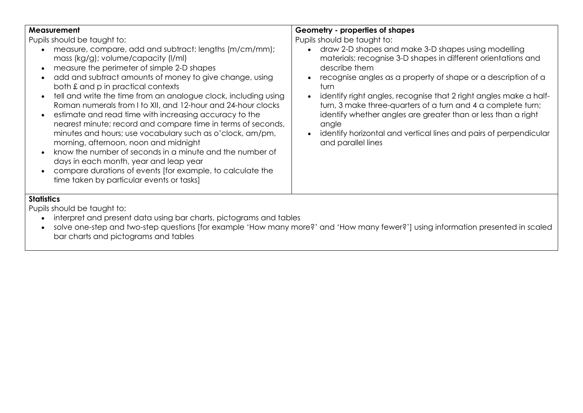| <b>Measurement</b><br>Pupils should be taught to:<br>measure, compare, add and subtract: lengths (m/cm/mm);                                                                                                                                                                                                                                                                                                                                                                                                              | Geometry - properties of shapes<br>Pupils should be taught to:<br>draw 2-D shapes and make 3-D shapes using modelling                                                                                                                                                                                          |
|--------------------------------------------------------------------------------------------------------------------------------------------------------------------------------------------------------------------------------------------------------------------------------------------------------------------------------------------------------------------------------------------------------------------------------------------------------------------------------------------------------------------------|----------------------------------------------------------------------------------------------------------------------------------------------------------------------------------------------------------------------------------------------------------------------------------------------------------------|
| mass (kg/g); volume/capacity (l/ml)<br>measure the perimeter of simple 2-D shapes<br>add and subtract amounts of money to give change, using                                                                                                                                                                                                                                                                                                                                                                             | materials; recognise 3-D shapes in different orientations and<br>describe them<br>recognise angles as a property of shape or a description of a                                                                                                                                                                |
| both £ and p in practical contexts<br>tell and write the time from an analogue clock, including using<br>$\bullet$<br>Roman numerals from I to XII, and 12-hour and 24-hour clocks<br>estimate and read time with increasing accuracy to the<br>nearest minute; record and compare time in terms of seconds,<br>minutes and hours; use vocabulary such as o'clock, am/pm,<br>morning, afternoon, noon and midnight<br>know the number of seconds in a minute and the number of<br>days in each month, year and leap year | turn<br>identify right angles, recognise that 2 right angles make a half-<br>turn, 3 make three-quarters of a turn and 4 a complete turn;<br>identify whether angles are greater than or less than a right<br>angle<br>identify horizontal and vertical lines and pairs of perpendicular<br>and parallel lines |
| compare durations of events (for example, to calculate the<br>time taken by particular events or tasks]                                                                                                                                                                                                                                                                                                                                                                                                                  |                                                                                                                                                                                                                                                                                                                |

#### **Statistics**

Pupils should be taught to:

- $\bullet$  interpret and present data using bar charts, pictograms and tables
- solve one-step and two-step questions [for example 'How many more?' and 'How many fewer?'] using information presented in scaled bar charts and pictograms and tables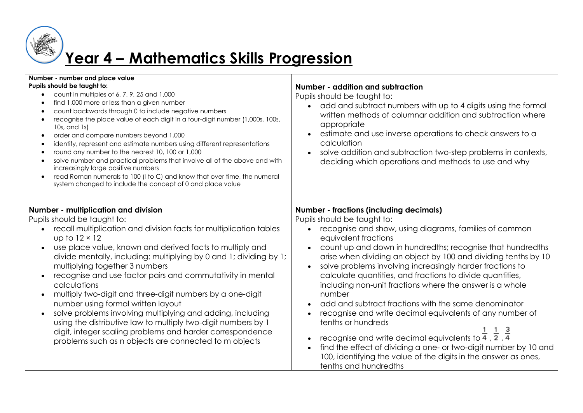

## **Year 4 – Mathematics Skills Progression**

| Number - number and place value<br>Pupils should be taught to:<br>count in multiples of 6, 7, 9, 25 and 1,000<br>find 1,000 more or less than a given number<br>count backwards through 0 to include negative numbers<br>recognise the place value of each digit in a four-digit number (1,000s, 100s,<br>$10s$ , and $1s$ )<br>order and compare numbers beyond 1,000<br>$\bullet$<br>identify, represent and estimate numbers using different representations<br>round any number to the nearest 10, 100 or 1,000<br>solve number and practical problems that involve all of the above and with<br>increasingly large positive numbers<br>read Roman numerals to 100 (I to C) and know that over time, the numeral<br>$\bullet$<br>system changed to include the concept of 0 and place value                    | Number - addition and subtraction<br>Pupils should be taught to:<br>add and subtract numbers with up to 4 digits using the formal<br>$\bullet$<br>written methods of columnar addition and subtraction where<br>appropriate<br>estimate and use inverse operations to check answers to a<br>calculation<br>solve addition and subtraction two-step problems in contexts,<br>deciding which operations and methods to use and why                                                                                                                                                                                                                                                                                                                                                                                                                                                                      |
|--------------------------------------------------------------------------------------------------------------------------------------------------------------------------------------------------------------------------------------------------------------------------------------------------------------------------------------------------------------------------------------------------------------------------------------------------------------------------------------------------------------------------------------------------------------------------------------------------------------------------------------------------------------------------------------------------------------------------------------------------------------------------------------------------------------------|-------------------------------------------------------------------------------------------------------------------------------------------------------------------------------------------------------------------------------------------------------------------------------------------------------------------------------------------------------------------------------------------------------------------------------------------------------------------------------------------------------------------------------------------------------------------------------------------------------------------------------------------------------------------------------------------------------------------------------------------------------------------------------------------------------------------------------------------------------------------------------------------------------|
| Number - multiplication and division<br>Pupils should be taught to:<br>recall multiplication and division facts for multiplication tables<br>up to $12 \times 12$<br>use place value, known and derived facts to multiply and<br>$\bullet$<br>divide mentally, including: multiplying by 0 and 1; dividing by 1;<br>multiplying together 3 numbers<br>recognise and use factor pairs and commutativity in mental<br>$\bullet$<br>calculations<br>multiply two-digit and three-digit numbers by a one-digit<br>number using formal written layout<br>solve problems involving multiplying and adding, including<br>$\bullet$<br>using the distributive law to multiply two-digit numbers by 1<br>digit, integer scaling problems and harder correspondence<br>problems such as n objects are connected to m objects | <b>Number - fractions (including decimals)</b><br>Pupils should be taught to:<br>recognise and show, using diagrams, families of common<br>equivalent fractions<br>count up and down in hundredths; recognise that hundredths<br>arise when dividing an object by 100 and dividing tenths by 10<br>solve problems involving increasingly harder fractions to<br>calculate quantities, and fractions to divide quantities,<br>including non-unit fractions where the answer is a whole<br>number<br>add and subtract fractions with the same denominator<br>recognise and write decimal equivalents of any number of<br>tenths or hundreds<br>recognise and write decimal equivalents to $\frac{1}{4}$ , $\frac{1}{2}$ , $\frac{3}{4}$<br>find the effect of dividing a one- or two-digit number by 10 and<br>100, identifying the value of the digits in the answer as ones,<br>tenths and hundredths |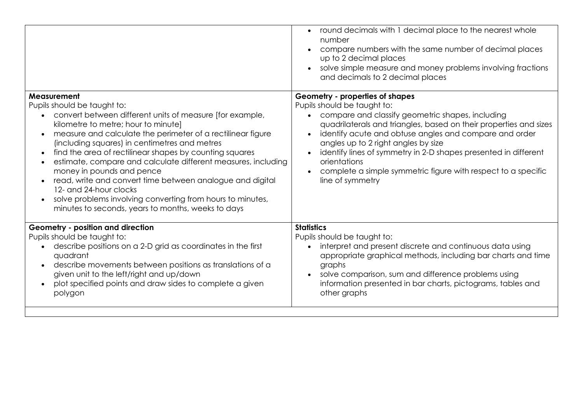|                                                                                                                                                                                                                                                                                                                                                                                                                                                                                                                                                                                                                            | round decimals with 1 decimal place to the nearest whole<br>$\bullet$<br>number<br>compare numbers with the same number of decimal places<br>up to 2 decimal places<br>solve simple measure and money problems involving fractions<br>and decimals to 2 decimal places                                                                                                                         |
|----------------------------------------------------------------------------------------------------------------------------------------------------------------------------------------------------------------------------------------------------------------------------------------------------------------------------------------------------------------------------------------------------------------------------------------------------------------------------------------------------------------------------------------------------------------------------------------------------------------------------|------------------------------------------------------------------------------------------------------------------------------------------------------------------------------------------------------------------------------------------------------------------------------------------------------------------------------------------------------------------------------------------------|
| Measurement<br>Pupils should be taught to:                                                                                                                                                                                                                                                                                                                                                                                                                                                                                                                                                                                 | Geometry - properties of shapes<br>Pupils should be taught to:                                                                                                                                                                                                                                                                                                                                 |
| convert between different units of measure [for example,<br>$\bullet$<br>kilometre to metre; hour to minute]<br>measure and calculate the perimeter of a rectilinear figure<br>(including squares) in centimetres and metres<br>find the area of rectilinear shapes by counting squares<br>$\bullet$<br>estimate, compare and calculate different measures, including<br>money in pounds and pence<br>read, write and convert time between analogue and digital<br>12- and 24-hour clocks<br>solve problems involving converting from hours to minutes,<br>$\bullet$<br>minutes to seconds, years to months, weeks to days | compare and classify geometric shapes, including<br>quadrilaterals and triangles, based on their properties and sizes<br>identify acute and obtuse angles and compare and order<br>angles up to 2 right angles by size<br>identify lines of symmetry in 2-D shapes presented in different<br>orientations<br>complete a simple symmetric figure with respect to a specific<br>line of symmetry |
| Geometry - position and direction                                                                                                                                                                                                                                                                                                                                                                                                                                                                                                                                                                                          | <b>Statistics</b>                                                                                                                                                                                                                                                                                                                                                                              |
| Pupils should be taught to:<br>describe positions on a 2-D grid as coordinates in the first<br>quadrant<br>describe movements between positions as translations of a<br>given unit to the left/right and up/down<br>plot specified points and draw sides to complete a given<br>$\bullet$<br>polygon                                                                                                                                                                                                                                                                                                                       | Pupils should be taught to:<br>interpret and present discrete and continuous data using<br>$\bullet$<br>appropriate graphical methods, including bar charts and time<br>graphs<br>solve comparison, sum and difference problems using<br>information presented in bar charts, pictograms, tables and<br>other graphs                                                                           |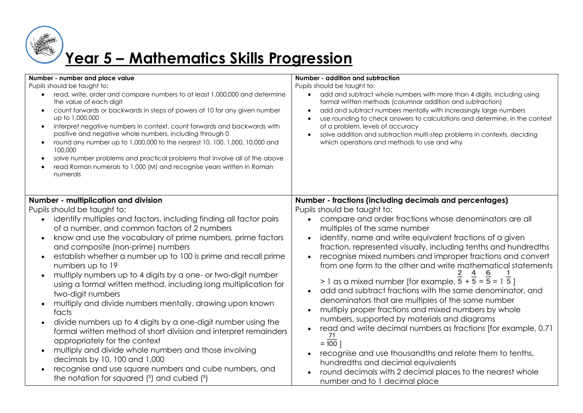

## **Year 5 – Mathematics Skills Progression**

| Number - number and place value<br>Pupils should be taught to:<br>read, write, order and compare numbers to at least 1,000,000 and determine<br>$\bullet$<br>the value of each digit<br>count forwards or backwards in steps of powers of 10 for any given number<br>$\bullet$<br>up to 1,000,000<br>interpret negative numbers in context, count forwards and backwards with<br>$\bullet$<br>positive and negative whole numbers, including through 0<br>round any number up to 1,000,000 to the nearest 10, 100, 1,000, 10,000 and<br>$\bullet$<br>100,000<br>solve number problems and practical problems that involve all of the above<br>$\bullet$<br>read Roman numerals to 1,000 (M) and recognise years written in Roman<br>numerals                                                                                                                                                                                                                                                                                                                                 | Number - addition and subtraction<br>Pupils should be taught to:<br>add and subtract whole numbers with more than 4 digits, including using<br>$\bullet$<br>formal written methods (columnar addition and subtraction)<br>add and subtract numbers mentally with increasingly large numbers<br>use rounding to check answers to calculations and determine, in the context<br>of a problem, levels of accuracy<br>solve addition and subtraction multi-step problems in contexts, deciding<br>which operations and methods to use and why                                                                                                                                                                                                                                                                                                                                                                                                                                                                                                                              |
|------------------------------------------------------------------------------------------------------------------------------------------------------------------------------------------------------------------------------------------------------------------------------------------------------------------------------------------------------------------------------------------------------------------------------------------------------------------------------------------------------------------------------------------------------------------------------------------------------------------------------------------------------------------------------------------------------------------------------------------------------------------------------------------------------------------------------------------------------------------------------------------------------------------------------------------------------------------------------------------------------------------------------------------------------------------------------|------------------------------------------------------------------------------------------------------------------------------------------------------------------------------------------------------------------------------------------------------------------------------------------------------------------------------------------------------------------------------------------------------------------------------------------------------------------------------------------------------------------------------------------------------------------------------------------------------------------------------------------------------------------------------------------------------------------------------------------------------------------------------------------------------------------------------------------------------------------------------------------------------------------------------------------------------------------------------------------------------------------------------------------------------------------------|
| Number - multiplication and division<br>Pupils should be taught to:<br>identify multiples and factors, including finding all factor pairs<br>$\bullet$<br>of a number, and common factors of 2 numbers<br>know and use the vocabulary of prime numbers, prime factors<br>$\bullet$<br>and composite (non-prime) numbers<br>establish whether a number up to 100 is prime and recall prime<br>$\bullet$<br>numbers up to 19<br>multiply numbers up to 4 digits by a one- or two-digit number<br>$\bullet$<br>using a formal written method, including long multiplication for<br>two-digit numbers<br>multiply and divide numbers mentally, drawing upon known<br>facts<br>divide numbers up to 4 digits by a one-digit number using the<br>$\bullet$<br>formal written method of short division and interpret remainders<br>appropriately for the context<br>multiply and divide whole numbers and those involving<br>$\bullet$<br>decimals by 10, 100 and 1,000<br>recognise and use square numbers and cube numbers, and<br>the notation for squared $(2)$ and cubed $(3)$ | Number - fractions (including decimals and percentages)<br>Pupils should be taught to:<br>compare and order fractions whose denominators are all<br>multiples of the same number<br>identify, name and write equivalent fractions of a given<br>fraction, represented visually, including tenths and hundredths<br>recognise mixed numbers and improper fractions and convert<br>from one form to the other and write mathematical statements<br>$> 1$ as a mixed number [for example, $\overline{5} + \overline{5} = \overline{5} = 1$ $\overline{5}$ ]<br>add and subtract fractions with the same denominator, and<br>denominators that are multiples of the same number<br>multiply proper fractions and mixed numbers by whole<br>numbers, supported by materials and diagrams<br>read and write decimal numbers as fractions [for example, 0.71<br>71<br>$= 100$<br>recognise and use thousandths and relate them to tenths,<br>hundredths and decimal equivalents<br>round decimals with 2 decimal places to the nearest whole<br>number and to 1 decimal place |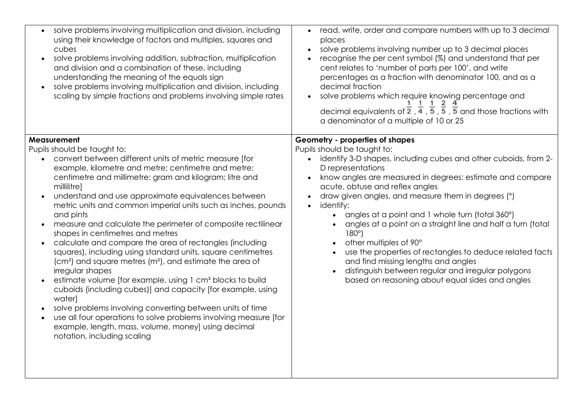| solve problems involving multiplication and division, including<br>using their knowledge of factors and multiples, squares and<br>cubes<br>solve problems involving addition, subtraction, multiplication<br>$\bullet$<br>and division and a combination of these, including<br>understanding the meaning of the equals sign<br>solve problems involving multiplication and division, including<br>scaling by simple fractions and problems involving simple rates                                                                                                                                                                                                                                                                                                                                                                                                                                                                                                                                                                                                                                                   | read, write, order and compare numbers with up to 3 decimal<br>$\bullet$<br>places<br>solve problems involving number up to 3 decimal places<br>$\bullet$<br>recognise the per cent symbol (%) and understand that per<br>cent relates to 'number of parts per 100', and write<br>percentages as a fraction with denominator 100, and as a<br>decimal fraction<br>solve problems which require knowing percentage and<br>$\bullet$<br>decimal equivalents of $\frac{1}{2}$ , $\frac{1}{4}$ , $\frac{1}{5}$ , $\frac{1}{5}$ , $\frac{1}{5}$ and those fractions with<br>a denominator of a multiple of 10 or 25                                                                                                |
|----------------------------------------------------------------------------------------------------------------------------------------------------------------------------------------------------------------------------------------------------------------------------------------------------------------------------------------------------------------------------------------------------------------------------------------------------------------------------------------------------------------------------------------------------------------------------------------------------------------------------------------------------------------------------------------------------------------------------------------------------------------------------------------------------------------------------------------------------------------------------------------------------------------------------------------------------------------------------------------------------------------------------------------------------------------------------------------------------------------------|---------------------------------------------------------------------------------------------------------------------------------------------------------------------------------------------------------------------------------------------------------------------------------------------------------------------------------------------------------------------------------------------------------------------------------------------------------------------------------------------------------------------------------------------------------------------------------------------------------------------------------------------------------------------------------------------------------------|
| Measurement<br>Pupils should be taught to:<br>convert between different units of metric measure [for<br>example, kilometre and metre; centimetre and metre;<br>centimetre and millimetre; gram and kilogram; litre and<br>millilitre]<br>understand and use approximate equivalences between<br>metric units and common imperial units such as inches, pounds<br>and pints<br>measure and calculate the perimeter of composite rectilinear<br>shapes in centimetres and metres<br>calculate and compare the area of rectangles (including<br>$\bullet$<br>squares), including using standard units, square centimetres<br>(cm <sup>2</sup> ) and square metres (m <sup>2</sup> ), and estimate the area of<br>irregular shapes<br>estimate volume [for example, using 1 cm <sup>3</sup> blocks to build<br>cuboids (including cubes)] and capacity [for example, using<br>water]<br>solve problems involving converting between units of time<br>use all four operations to solve problems involving measure [for<br>$\bullet$<br>example, length, mass, volume, money] using decimal<br>notation, including scaling | Geometry - properties of shapes<br>Pupils should be taught to:<br>identify 3-D shapes, including cubes and other cuboids, from 2-<br>D representations<br>know angles are measured in degrees: estimate and compare<br>acute, obtuse and reflex angles<br>draw given angles, and measure them in degrees (°)<br>identify:<br>$\bullet$<br>angles at a point and 1 whole turn (total 360°)<br>angles at a point on a straight line and half a turn (total<br>$180^\circ$<br>other multiples of 90°<br>use the properties of rectangles to deduce related facts<br>and find missing lengths and angles<br>distinguish between regular and irregular polygons<br>based on reasoning about equal sides and angles |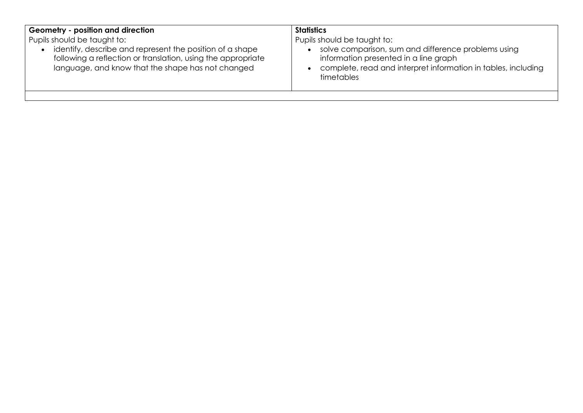| Geometry - position and direction<br>Pupils should be taught to:<br>identify, describe and represent the position of a shape<br>following a reflection or translation, using the appropriate<br>language, and know that the shape has not changed | <b>Statistics</b><br>Pupils should be taught to:<br>solve comparison, sum and difference problems using<br>information presented in a line graph<br>complete, read and interpret information in tables, including<br>timetables |
|---------------------------------------------------------------------------------------------------------------------------------------------------------------------------------------------------------------------------------------------------|---------------------------------------------------------------------------------------------------------------------------------------------------------------------------------------------------------------------------------|
|                                                                                                                                                                                                                                                   |                                                                                                                                                                                                                                 |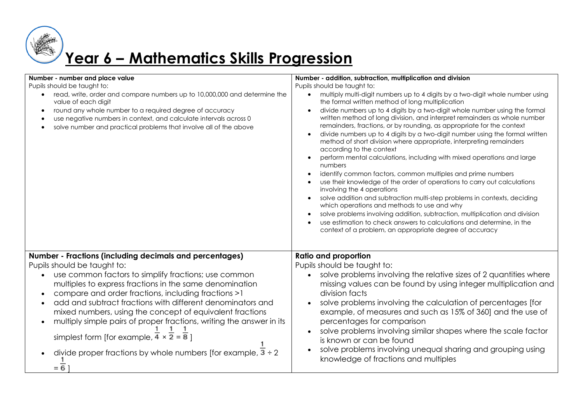

# **Year 6 – Mathematics Skills Progression**

| Number - number and place value<br>Pupils should be taught to:<br>read, write, order and compare numbers up to 10,000,000 and determine the<br>value of each digit<br>round any whole number to a required degree of accuracy<br>$\bullet$<br>use negative numbers in context, and calculate intervals across 0<br>solve number and practical problems that involve all of the above                                                                                                                                                                                                                                                     | Number - addition, subtraction, multiplication and division<br>Pupils should be taught to:<br>multiply multi-digit numbers up to 4 digits by a two-digit whole number using<br>the formal written method of long multiplication<br>divide numbers up to 4 digits by a two-digit whole number using the formal<br>written method of long division, and interpret remainders as whole number<br>remainders, fractions, or by rounding, as appropriate for the context<br>divide numbers up to 4 digits by a two-digit number using the formal written<br>method of short division where appropriate, interpreting remainders<br>according to the context<br>perform mental calculations, including with mixed operations and large<br>numbers<br>identify common factors, common multiples and prime numbers<br>use their knowledge of the order of operations to carry out calculations<br>involving the 4 operations<br>solve addition and subtraction multi-step problems in contexts, deciding<br>which operations and methods to use and why<br>solve problems involving addition, subtraction, multiplication and division<br>use estimation to check answers to calculations and determine, in the<br>context of a problem, an appropriate degree of accuracy |
|------------------------------------------------------------------------------------------------------------------------------------------------------------------------------------------------------------------------------------------------------------------------------------------------------------------------------------------------------------------------------------------------------------------------------------------------------------------------------------------------------------------------------------------------------------------------------------------------------------------------------------------|--------------------------------------------------------------------------------------------------------------------------------------------------------------------------------------------------------------------------------------------------------------------------------------------------------------------------------------------------------------------------------------------------------------------------------------------------------------------------------------------------------------------------------------------------------------------------------------------------------------------------------------------------------------------------------------------------------------------------------------------------------------------------------------------------------------------------------------------------------------------------------------------------------------------------------------------------------------------------------------------------------------------------------------------------------------------------------------------------------------------------------------------------------------------------------------------------------------------------------------------------------------------|
| <b>Number - Fractions (including decimals and percentages)</b><br>Pupils should be taught to:<br>use common factors to simplify fractions; use common<br>multiples to express fractions in the same denomination<br>compare and order fractions, including fractions >1<br>add and subtract fractions with different denominators and<br>mixed numbers, using the concept of equivalent fractions<br>multiply simple pairs of proper fractions, writing the answer in its<br>simplest form [for example, $\frac{4}{4} \times 2 = 8$ ]<br>divide proper fractions by whole numbers [for example, $\overline{3} \div 2$<br>$=\overline{6}$ | <b>Ratio and proportion</b><br>Pupils should be taught to:<br>solve problems involving the relative sizes of 2 quantities where<br>missing values can be found by using integer multiplication and<br>division facts<br>solve problems involving the calculation of percentages [for<br>example, of measures and such as 15% of 360] and the use of<br>percentages for comparison<br>solve problems involving similar shapes where the scale factor<br>is known or can be found<br>solve problems involving unequal sharing and grouping using<br>knowledge of fractions and multiples                                                                                                                                                                                                                                                                                                                                                                                                                                                                                                                                                                                                                                                                             |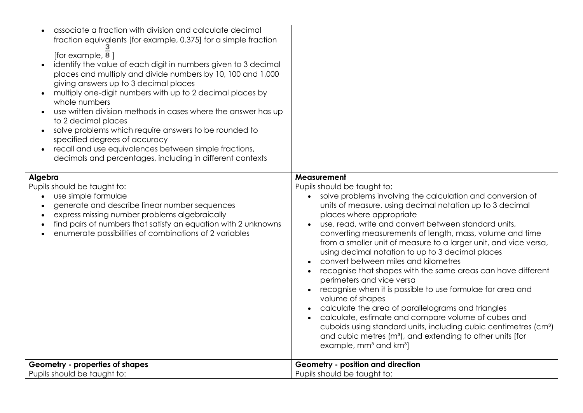| Pupils should be taught to:<br>Pupils should be taught to:<br>use simple formulae<br>solve problems involving the calculation and conversion of<br>generate and describe linear number sequences<br>units of measure, using decimal notation up to 3 decimal<br>express missing number problems algebraically<br>places where appropriate<br>find pairs of numbers that satisfy an equation with 2 unknowns<br>use, read, write and convert between standard units,<br>enumerate possibilities of combinations of 2 variables<br>using decimal notation to up to 3 decimal places<br>convert between miles and kilometres | associate a fraction with division and calculate decimal<br>fraction equivalents [for example, 0.375] for a simple fraction<br>[for example, 8]<br>identify the value of each digit in numbers given to 3 decimal<br>places and multiply and divide numbers by 10, 100 and 1,000<br>giving answers up to 3 decimal places<br>multiply one-digit numbers with up to 2 decimal places by<br>whole numbers<br>use written division methods in cases where the answer has up<br>to 2 decimal places<br>solve problems which require answers to be rounded to<br>specified degrees of accuracy<br>recall and use equivalences between simple fractions,<br>decimals and percentages, including in different contexts |                                                                                                                                                                                                                                                                                             |
|---------------------------------------------------------------------------------------------------------------------------------------------------------------------------------------------------------------------------------------------------------------------------------------------------------------------------------------------------------------------------------------------------------------------------------------------------------------------------------------------------------------------------------------------------------------------------------------------------------------------------|-----------------------------------------------------------------------------------------------------------------------------------------------------------------------------------------------------------------------------------------------------------------------------------------------------------------------------------------------------------------------------------------------------------------------------------------------------------------------------------------------------------------------------------------------------------------------------------------------------------------------------------------------------------------------------------------------------------------|---------------------------------------------------------------------------------------------------------------------------------------------------------------------------------------------------------------------------------------------------------------------------------------------|
| perimeters and vice versa<br>recognise when it is possible to use formulae for area and<br>volume of shapes<br>calculate the area of parallelograms and triangles<br>calculate, estimate and compare volume of cubes and<br>and cubic metres (m <sup>3</sup> ), and extending to other units [for<br>example, mm <sup>3</sup> and km <sup>3</sup> ]                                                                                                                                                                                                                                                                       | Algebra                                                                                                                                                                                                                                                                                                                                                                                                                                                                                                                                                                                                                                                                                                         | Measurement<br>converting measurements of length, mass, volume and time<br>from a smaller unit of measure to a larger unit, and vice versa,<br>recognise that shapes with the same areas can have different<br>cuboids using standard units, including cubic centimetres (cm <sup>3</sup> ) |
| Geometry - properties of shapes<br>Geometry - position and direction<br>Pupils should be taught to:<br>Pupils should be taught to:                                                                                                                                                                                                                                                                                                                                                                                                                                                                                        |                                                                                                                                                                                                                                                                                                                                                                                                                                                                                                                                                                                                                                                                                                                 |                                                                                                                                                                                                                                                                                             |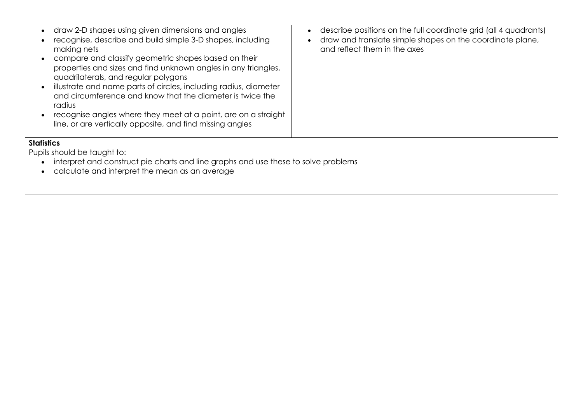| draw 2-D shapes using given dimensions and angles<br>recognise, describe and build simple 3-D shapes, including<br>making nets<br>compare and classify geometric shapes based on their<br>properties and sizes and find unknown angles in any triangles,<br>quadrilaterals, and regular polygons<br>illustrate and name parts of circles, including radius, diameter<br>and circumference and know that the diameter is twice the<br>radius<br>recognise angles where they meet at a point, are on a straight<br>line, or are vertically opposite, and find missing angles | describe positions on the full coordinate grid (all 4 quadrants)<br>$\bullet$<br>draw and translate simple shapes on the coordinate plane,<br>and reflect them in the axes |  |
|----------------------------------------------------------------------------------------------------------------------------------------------------------------------------------------------------------------------------------------------------------------------------------------------------------------------------------------------------------------------------------------------------------------------------------------------------------------------------------------------------------------------------------------------------------------------------|----------------------------------------------------------------------------------------------------------------------------------------------------------------------------|--|
| <b>Statistics</b><br>Pupils should be taught to:<br>interpret and construct pie charts and line graphs and use these to solve problems<br>calculate and interpret the mean as an average                                                                                                                                                                                                                                                                                                                                                                                   |                                                                                                                                                                            |  |